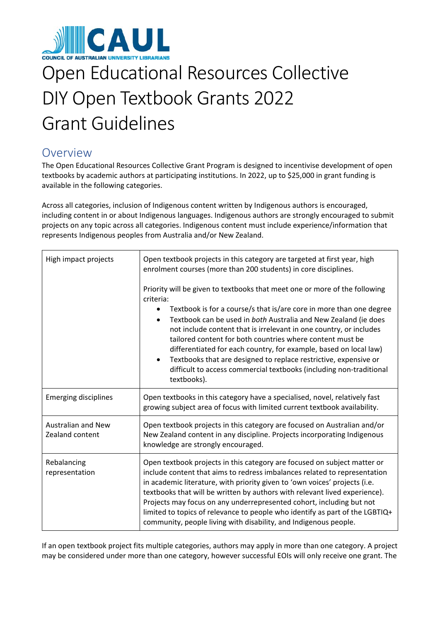

# Open Educational Resources Collective DIY Open Textbook Grants 2022 Grant Guidelines

# Overview

The Open Educational Resources Collective Grant Program is designed to incentivise development of open textbooks by academic authors at participating institutions. In 2022, up to \$25,000 in grant funding is available in the following categories.

Across all categories, inclusion of Indigenous content written by Indigenous authors is encouraged, including content in or about Indigenous languages. Indigenous authors are strongly encouraged to submit projects on any topic across all categories. Indigenous content must include experience/information that represents Indigenous peoples from Australia and/or New Zealand.

| High impact projects                         | Open textbook projects in this category are targeted at first year, high<br>enrolment courses (more than 200 students) in core disciplines.                                                                                                                                                                                                                                                                                                                                                                                                                                                                                                |
|----------------------------------------------|--------------------------------------------------------------------------------------------------------------------------------------------------------------------------------------------------------------------------------------------------------------------------------------------------------------------------------------------------------------------------------------------------------------------------------------------------------------------------------------------------------------------------------------------------------------------------------------------------------------------------------------------|
|                                              | Priority will be given to textbooks that meet one or more of the following<br>criteria:<br>Textbook is for a course/s that is/are core in more than one degree<br>$\bullet$<br>Textbook can be used in both Australia and New Zealand (ie does<br>$\bullet$<br>not include content that is irrelevant in one country, or includes<br>tailored content for both countries where content must be<br>differentiated for each country, for example, based on local law)<br>Textbooks that are designed to replace restrictive, expensive or<br>$\bullet$<br>difficult to access commercial textbooks (including non-traditional<br>textbooks). |
| <b>Emerging disciplines</b>                  | Open textbooks in this category have a specialised, novel, relatively fast<br>growing subject area of focus with limited current textbook availability.                                                                                                                                                                                                                                                                                                                                                                                                                                                                                    |
| <b>Australian and New</b><br>Zealand content | Open textbook projects in this category are focused on Australian and/or<br>New Zealand content in any discipline. Projects incorporating Indigenous<br>knowledge are strongly encouraged.                                                                                                                                                                                                                                                                                                                                                                                                                                                 |
| Rebalancing<br>representation                | Open textbook projects in this category are focused on subject matter or<br>include content that aims to redress imbalances related to representation<br>in academic literature, with priority given to 'own voices' projects (i.e.<br>textbooks that will be written by authors with relevant lived experience).<br>Projects may focus on any underrepresented cohort, including but not<br>limited to topics of relevance to people who identify as part of the LGBTIQ+<br>community, people living with disability, and Indigenous people.                                                                                              |

If an open textbook project fits multiple categories, authors may apply in more than one category. A project may be considered under more than one category, however successful EOIs will only receive one grant. The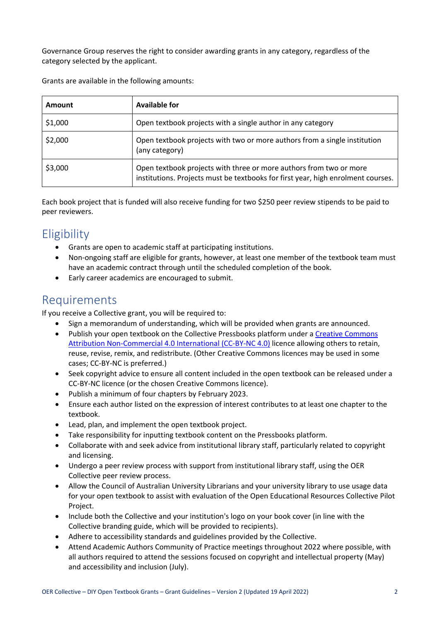Governance Group reserves the right to consider awarding grants in any category, regardless of the category selected by the applicant.

| Amount  | Available for                                                                                                                                          |
|---------|--------------------------------------------------------------------------------------------------------------------------------------------------------|
| \$1,000 | Open textbook projects with a single author in any category                                                                                            |
| \$2,000 | Open textbook projects with two or more authors from a single institution<br>(any category)                                                            |
| \$3,000 | Open textbook projects with three or more authors from two or more<br>institutions. Projects must be textbooks for first year, high enrolment courses. |

Grants are available in the following amounts:

Each book project that is funded will also receive funding for two \$250 peer review stipends to be paid to peer reviewers.

# **Eligibility**

- Grants are open to academic staff at participating institutions.
- Non-ongoing staff are eligible for grants, however, at least one member of the textbook team must have an academic contract through until the scheduled completion of the book.
- Early career academics are encouraged to submit.

#### Requirements

If you receive a Collective grant, you will be required to:

- Sign a memorandum of understanding, which will be provided when grants are announced.
- Publish your open textbook on the Collective Pressbooks platform under a [Creative Commons](https://creativecommons.org/licenses/by-nc/4.0/)  [Attribution Non-Commercial 4.0 International \(CC-BY-NC 4.0\)](https://creativecommons.org/licenses/by-nc/4.0/) licence allowing others to retain, reuse, revise, remix, and redistribute. (Other Creative Commons licences may be used in some cases; CC-BY-NC is preferred.)
- Seek copyright advice to ensure all content included in the open textbook can be released under a CC-BY-NC licence (or the chosen Creative Commons licence).
- Publish a minimum of four chapters by February 2023.
- Ensure each author listed on the expression of interest contributes to at least one chapter to the textbook.
- Lead, plan, and implement the open textbook project.
- Take responsibility for inputting textbook content on the Pressbooks platform.
- Collaborate with and seek advice from institutional library staff, particularly related to copyright and licensing.
- Undergo a peer review process with support from institutional library staff, using the OER Collective peer review process.
- Allow the Council of Australian University Librarians and your university library to use usage data for your open textbook to assist with evaluation of the Open Educational Resources Collective Pilot Project.
- Include both the Collective and your institution's logo on your book cover (in line with the Collective branding guide, which will be provided to recipients).
- Adhere to accessibility standards and guidelines provided by the Collective.
- Attend Academic Authors Community of Practice meetings throughout 2022 where possible, with all authors required to attend the sessions focused on copyright and intellectual property (May) and accessibility and inclusion (July).